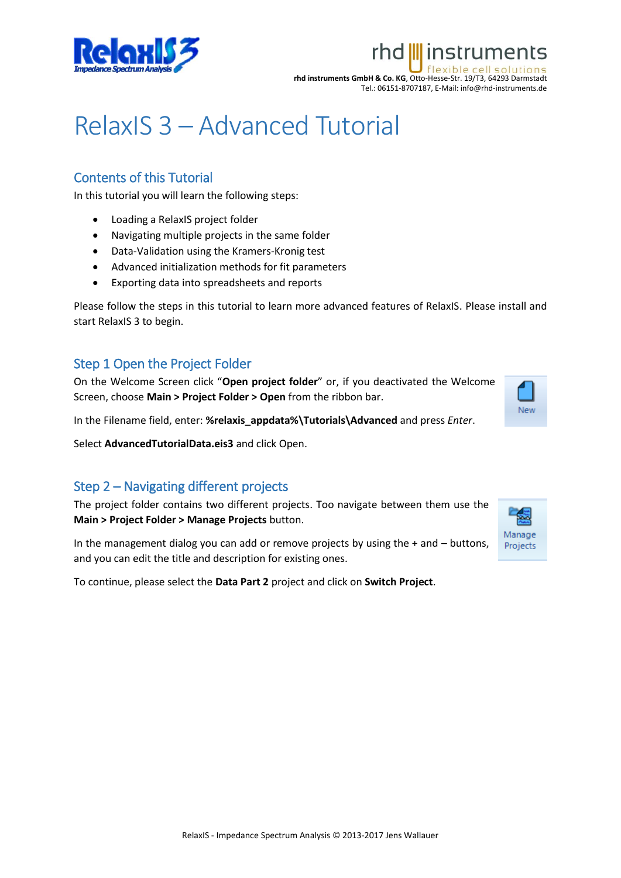

### rhd *III* instruments lexible cell

**rhd instruments GmbH & Co. KG**, Otto-Hesse-Str. 19/T3, 64293 Darmstadt Tel.: 06151-8707187, E-Mail: info@rhd-instruments.de

# RelaxIS 3 – Advanced Tutorial

## Contents of this Tutorial

In this tutorial you will learn the following steps:

- Loading a RelaxIS project folder
- Navigating multiple projects in the same folder
- Data-Validation using the Kramers-Kronig test
- Advanced initialization methods for fit parameters
- Exporting data into spreadsheets and reports

Please follow the steps in this tutorial to learn more advanced features of RelaxIS. Please install and start RelaxIS 3 to begin.

#### Step 1 Open the Project Folder

On the Welcome Screen click "**Open project folder**" or, if you deactivated the Welcome Screen, choose **Main > Project Folder > Open** from the ribbon bar.

New

In the Filename field, enter: **%relaxis\_appdata%\Tutorials\Advanced** and press *Enter*.

Select **AdvancedTutorialData.eis3** and click Open.

## Step 2 – Navigating different projects

The project folder contains two different projects. Too navigate between them use the **Main > Project Folder > Manage Projects** button.

In the management dialog you can add or remove projects by using the  $+$  and  $-$  buttons, and you can edit the title and description for existing ones.

To continue, please select the **Data Part 2** project and click on **Switch Project**.

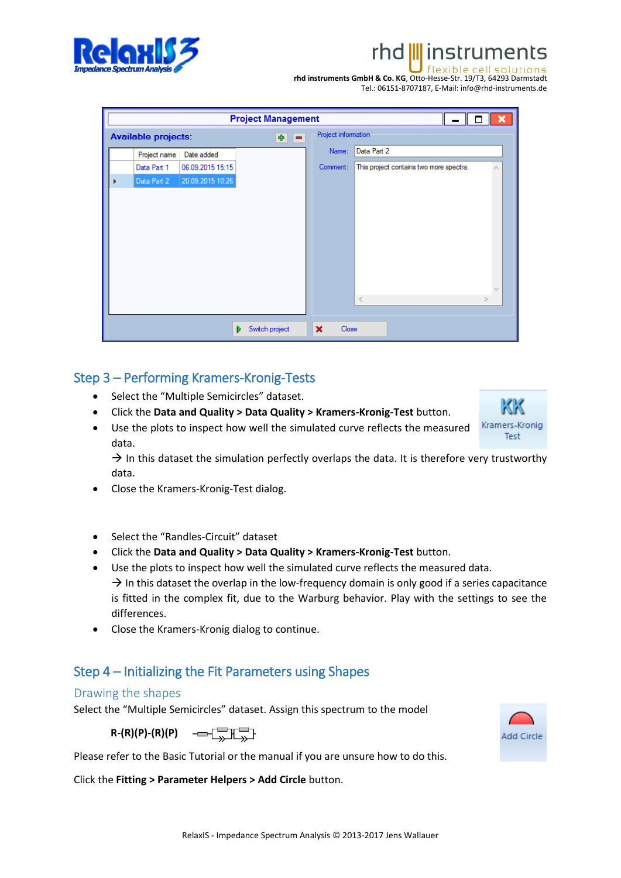rhd III instruments



Tel.: 06151-8707187, E-Mail: info@rhd-instruments.de

| RelaxIS - Impedance Spectrum Analysis © 2013-2017 Jens Wallauer |  |
|-----------------------------------------------------------------|--|

| <b>Project Management</b><br>× |                                                                          |                  |                |                                    |                                         |  |
|--------------------------------|--------------------------------------------------------------------------|------------------|----------------|------------------------------------|-----------------------------------------|--|
|                                | Project information<br><b>Available projects:</b><br>-<br>$\blacksquare$ |                  |                |                                    |                                         |  |
|                                | Project name                                                             | Date added       |                | Name:                              | Data Part 2                             |  |
|                                | Data Part 1                                                              | 06.09.2015 15:15 |                | Comment:                           | This project contains two more spectra. |  |
|                                | Data Part 2                                                              | 20.09.2015 10:26 |                |                                    |                                         |  |
|                                |                                                                          |                  |                |                                    |                                         |  |
|                                |                                                                          |                  |                |                                    |                                         |  |
|                                |                                                                          |                  |                |                                    |                                         |  |
|                                |                                                                          |                  |                |                                    |                                         |  |
|                                |                                                                          |                  |                |                                    |                                         |  |
|                                |                                                                          |                  |                |                                    |                                         |  |
|                                |                                                                          |                  |                |                                    |                                         |  |
|                                |                                                                          |                  |                |                                    | $\,<$                                   |  |
|                                |                                                                          |                  |                |                                    |                                         |  |
|                                |                                                                          |                  | Switch project | $\boldsymbol{\mathsf{x}}$<br>Close |                                         |  |

## Step 3 – Performing Kramers-Kronig-Tests

- Select the "Multiple Semicircles" dataset.
- Click the **Data and Quality > Data Quality > Kramers-Kronig-Test** button.
- Use the plots to inspect how well the simulated curve reflects the measured data.

 $\rightarrow$  In this dataset the simulation perfectly overlaps the data. It is therefore very trustworthy data.

- Close the Kramers-Kronig-Test dialog.
- Select the "Randles-Circuit" dataset
- Click the **Data and Quality > Data Quality > Kramers-Kronig-Test** button.
- Use the plots to inspect how well the simulated curve reflects the measured data.  $\rightarrow$  In this dataset the overlap in the low-frequency domain is only good if a series capacitance is fitted in the complex fit, due to the Warburg behavior. Play with the settings to see the differences.
- Close the Kramers-Kronig dialog to continue.

# Step 4 – Initializing the Fit Parameters using Shapes

## Drawing the shapes

Select the "Multiple Semicircles" dataset. Assign this spectrum to the model

 $R-(R)(P)-(R)(P)$   $\longrightarrow$   $\Box$ 

Please refer to the Basic Tutorial or the manual if you are unsure how to do this.

Click the **Fitting > Parameter Helpers > Add Circle** button.





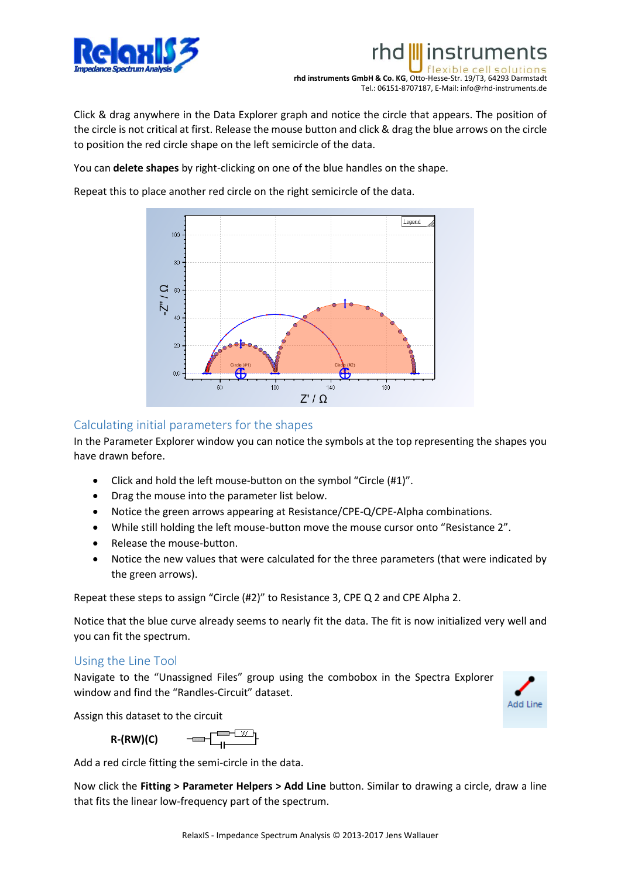

**rhd instruments GmbH & Co. KG**, Otto-Hesse-Str. 19/T3, 64293 Darmstadt Tel.: 06151-8707187, E-Mail: info@rhd-instruments.de

linstruments

Click & drag anywhere in the Data Explorer graph and notice the circle that appears. The position of the circle is not critical at first. Release the mouse button and click & drag the blue arrows on the circle to position the red circle shape on the left semicircle of the data.

You can **delete shapes** by right-clicking on one of the blue handles on the shape.

Repeat this to place another red circle on the right semicircle of the data.



#### Calculating initial parameters for the shapes

In the Parameter Explorer window you can notice the symbols at the top representing the shapes you have drawn before.

- Click and hold the left mouse-button on the symbol "Circle (#1)".
- Drag the mouse into the parameter list below.
- Notice the green arrows appearing at Resistance/CPE-Q/CPE-Alpha combinations.
- While still holding the left mouse-button move the mouse cursor onto "Resistance 2".
- Release the mouse-button.
- Notice the new values that were calculated for the three parameters (that were indicated by the green arrows).

Repeat these steps to assign "Circle (#2)" to Resistance 3, CPE Q 2 and CPE Alpha 2.

Notice that the blue curve already seems to nearly fit the data. The fit is now initialized very well and you can fit the spectrum.

#### Using the Line Tool

Navigate to the "Unassigned Files" group using the combobox in the Spectra Explorer window and find the "Randles-Circuit" dataset.



Assign this dataset to the circuit

$$
R-(RW)(C) \qquad \qquad \overbrace{\qquad \qquad }^{r} \qquad \qquad \overbrace{\qquad \qquad }^{r} \qquad \qquad \overbrace{\qquad \qquad }^{r} \qquad \qquad }
$$

Add a red circle fitting the semi-circle in the data.

Now click the **Fitting > Parameter Helpers > Add Line** button. Similar to drawing a circle, draw a line that fits the linear low-frequency part of the spectrum.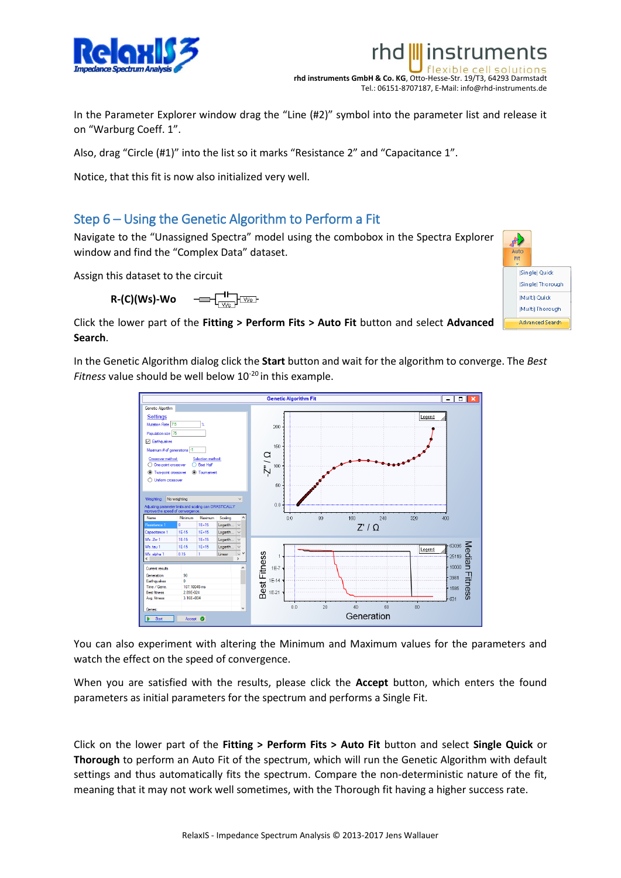

**rhd instruments GmbH & Co. KG**, Otto-Hesse-Str. 19/T3, 64293 Darmstadt Tel.: 06151-8707187, E-Mail: info@rhd-instruments.de

rhd III instruments

In the Parameter Explorer window drag the "Line (#2)" symbol into the parameter list and release it on "Warburg Coeff. 1".

Also, drag "Circle (#1)" into the list so it marks "Resistance 2" and "Capacitance 1".

Notice, that this fit is now also initialized very well.

#### Step 6 – Using the Genetic Algorithm to Perform a Fit

Navigate to the "Unassigned Spectra" model using the combobox in the Spectra Explorer window and find the "Complex Data" dataset.

Assign this dataset to the circuit

**R-(C)(Ws)-Wo**



Click the lower part of the **Fitting > Perform Fits > Auto Fit** button and select **Advanced Search**.

In the Genetic Algorithm dialog click the **Start** button and wait for the algorithm to converge. The *Best Fitness* value should be well below 10<sup>-20</sup> in this example.



You can also experiment with altering the Minimum and Maximum values for the parameters and watch the effect on the speed of convergence.

When you are satisfied with the results, please click the **Accept** button, which enters the found parameters as initial parameters for the spectrum and performs a Single Fit.

Click on the lower part of the **Fitting > Perform Fits > Auto Fit** button and select **Single Quick** or **Thorough** to perform an Auto Fit of the spectrum, which will run the Genetic Algorithm with default settings and thus automatically fits the spectrum. Compare the non-deterministic nature of the fit, meaning that it may not work well sometimes, with the Thorough fit having a higher success rate.